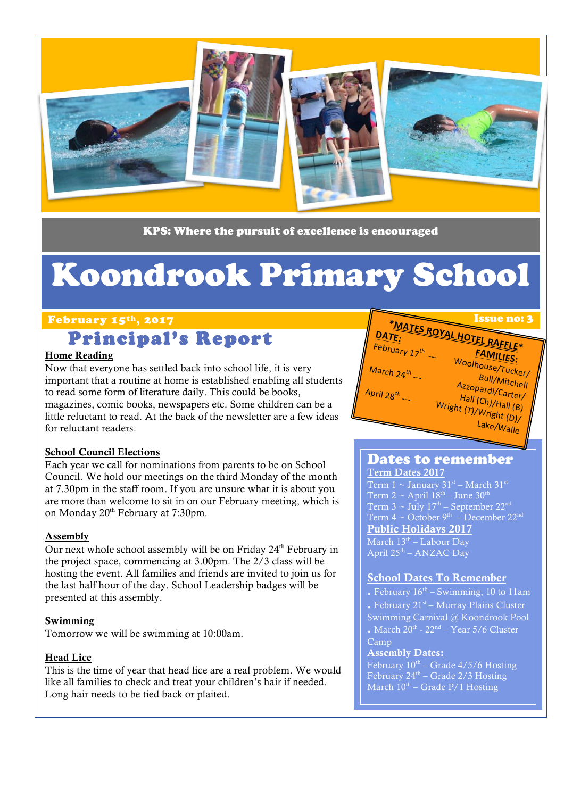

KPS: Where the pursuit of excellence is encouraged

# Koondrook Primary School

#### February 15<sup>th</sup>, 2017 **Issue no: 3** Issue no: 3

## Principal's Report

#### Home Reading

Now that everyone has settled back into school life, it is very important that a routine at home is established enabling all students to read some form of literature daily. This could be books, magazines, comic books, newspapers etc. Some children can be a little reluctant to read. At the back of the newsletter are a few ideas for reluctant readers.

#### School Council Elections

Each year we call for nominations from parents to be on School Council. We hold our meetings on the third Monday of the month at 7.30pm in the staff room. If you are unsure what it is about you are more than welcome to sit in on our February meeting, which is on Monday 20<sup>th</sup> February at 7:30pm.

#### Assembly

Our next whole school assembly will be on Friday  $24<sup>th</sup>$  February in the project space, commencing at 3.00pm. The 2/3 class will be hosting the event. All families and friends are invited to join us for the last half hour of the day. School Leadership badges will be presented at this assembly.

#### Swimming

Tomorrow we will be swimming at 10:00am.

#### Head Lice

This is the time of year that head lice are a real problem. We would like all families to check and treat your children's hair if needed. Long hair needs to be tied back or plaited.



#### Dates to remember

Term Dates 2017 Term  $1 \sim$  January  $31^{st}$  – March  $31^{st}$ Term 2  $\sim$  April 18<sup>th</sup>– June 30<sup>th</sup> Term 3  $\sim$  July 17<sup>th</sup> – September 22<sup>nd</sup> Term  $4 \sim$  October 9<sup>th</sup> – December 22<sup>nd</sup> Public Holidays 2017 March 13<sup>th</sup> – Labour Day April 25<sup>th</sup> – ANZAC Day

#### School Dates To Remember

. February  $16<sup>th</sup> - Swimming$ , 10 to 11am . February  $21<sup>st</sup> - Murray Plains Cluster$ Swimming Carnival @ Koondrook Pool . March  $20^{th}$  -  $22^{nd}$  – Year 5/6 Cluster Camp Assembly Dates:

February  $10^{\text{th}}$  – Grade 4/5/6 Hosting February 24<sup>th</sup> – Grade 2/3 Hosting March  $10^{th}$  – Grade P/1 Hosting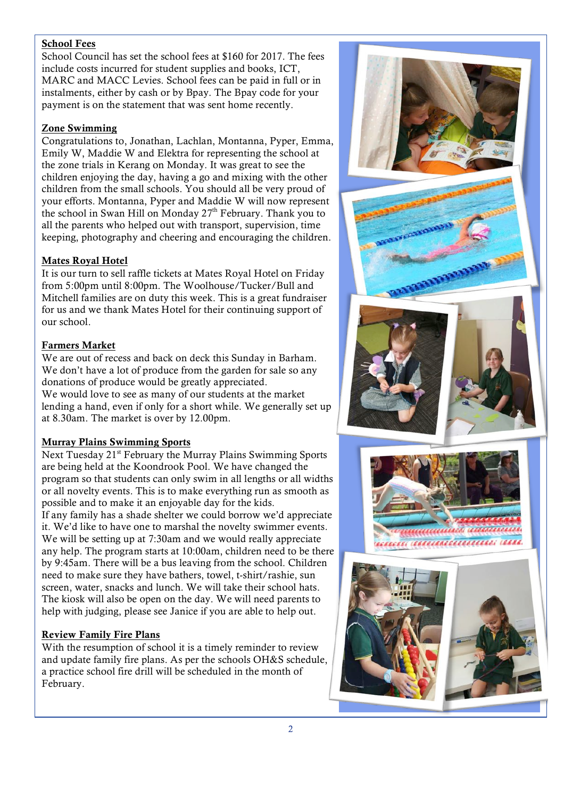#### School Fees

School Council has set the school fees at \$160 for 2017. The fees include costs incurred for student supplies and books, ICT, MARC and MACC Levies. School fees can be paid in full or in instalments, either by cash or by Bpay. The Bpay code for your payment is on the statement that was sent home recently.

#### Zone Swimming

Congratulations to, Jonathan, Lachlan, Montanna, Pyper, Emma, Emily W, Maddie W and Elektra for representing the school at the zone trials in Kerang on Monday. It was great to see the children enjoying the day, having a go and mixing with the other children from the small schools. You should all be very proud of your efforts. Montanna, Pyper and Maddie W will now represent the school in Swan Hill on Monday 27<sup>th</sup> February. Thank you to all the parents who helped out with transport, supervision, time keeping, photography and cheering and encouraging the children.

#### Mates Royal Hotel

It is our turn to sell raffle tickets at Mates Royal Hotel on Friday from 5:00pm until 8:00pm. The Woolhouse/Tucker/Bull and Mitchell families are on duty this week. This is a great fundraiser for us and we thank Mates Hotel for their continuing support of our school.

#### Farmers Market

We are out of recess and back on deck this Sunday in Barham. We don't have a lot of produce from the garden for sale so any donations of produce would be greatly appreciated. We would love to see as many of our students at the market lending a hand, even if only for a short while. We generally set up at 8.30am. The market is over by 12.00pm.

#### Murray Plains Swimming Sports

Next Tuesday 21<sup>st</sup> February the Murray Plains Swimming Sports are being held at the Koondrook Pool. We have changed the program so that students can only swim in all lengths or all widths or all novelty events. This is to make everything run as smooth as possible and to make it an enjoyable day for the kids. If any family has a shade shelter we could borrow we'd appreciate it. We'd like to have one to marshal the novelty swimmer events. We will be setting up at 7:30am and we would really appreciate any help. The program starts at 10:00am, children need to be there by 9:45am. There will be a bus leaving from the school. Children need to make sure they have bathers, towel, t-shirt/rashie, sun screen, water, snacks and lunch. We will take their school hats. The kiosk will also be open on the day. We will need parents to help with judging, please see Janice if you are able to help out.

#### Review Family Fire Plans

With the resumption of school it is a timely reminder to review and update family fire plans. As per the schools OH&S schedule, a practice school fire drill will be scheduled in the month of February.

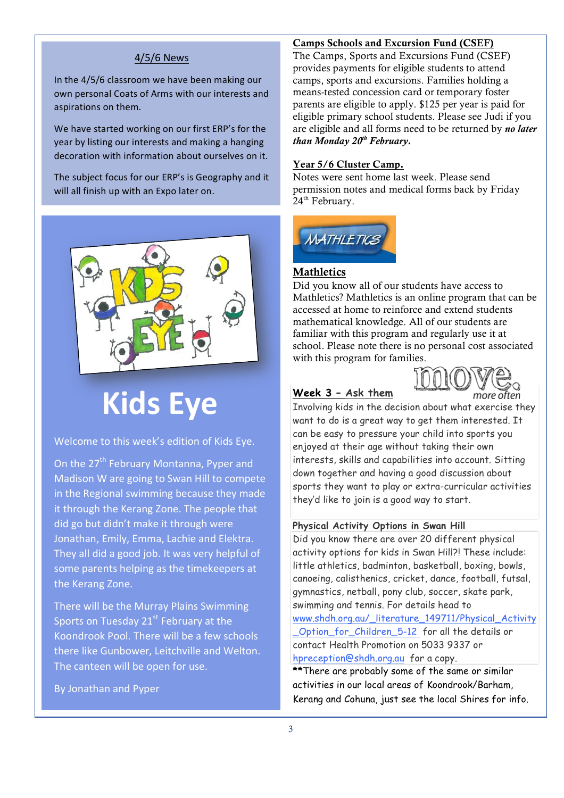#### 4/5/6 News

In the 4/5/6 classroom we have been making our own personal Coats of Arms with our interests and aspirations on them.

We have started working on our first ERP's for the year by listing our interests and making a hanging decoration with information about ourselves on it.

The subject focus for our ERP's is Geography and it will all finish up with an Expo later on.



## **Kids Eye**

#### Welcome to this week's edition of Kids Eye.

On the 27<sup>th</sup> February Montanna, Pyper and Madison W are going to Swan Hill to compete in the Regional swimming because they made it through the Kerang Zone. The people that did go but didn't make it through were Jonathan, Emily, Emma, Lachie and Elektra. They all did a good job. It was very helpful of some parents helping as the timekeepers at the Kerang Zone.

There will be the Murray Plains Swimming Sports on Tuesday  $21^{st}$  February at the Koondrook Pool. There will be a few schools there like Gunbower, Leitchville and Welton. The canteen will be open for use.

By Jonathan and Pyper

#### Camps Schools and Excursion Fund (CSEF)

The Camps, Sports and Excursions Fund (CSEF) provides payments for eligible students to attend camps, sports and excursions. Families holding a means-tested concession card or temporary foster parents are eligible to apply. \$125 per year is paid for eligible primary school students. Please see Judi if you are eligible and all forms need to be returned by *no later than Monday 20th February.* 

#### Year 5/6 Cluster Camp.

Notes were sent home last week. Please send permission notes and medical forms back by Friday 24<sup>th</sup> February.



#### **Mathletics**

Did you know all of our students have access to Mathletics? Mathletics is an online program that can be accessed at home to reinforce and extend students mathematical knowledge. All of our students are familiar with this program and regularly use it at school. Please note there is no personal cost associated with this program for families.

#### **Week 3 – Ask them**



Involving kids in the decision about what exercise they want to do is a great way to get them interested. It can be easy to pressure your child into sports you enjoyed at their age without taking their own interests, skills and capabilities into account. Sitting down together and having a good discussion about sports they want to play or extra-curricular activities they'd like to join is a good way to start.

#### **Physical Activity Options in Swan Hill**

Did you know there are over 20 different physical activity options for kids in Swan Hill?! These include: little athletics, badminton, basketball, boxing, bowls, canoeing, calisthenics, cricket, dance, football, futsal, gymnastics, netball, pony club, soccer, skate park, swimming and tennis. For details head to www.shdh.org.au/\_literature\_149711/Physical\_Activity \_Option\_for\_Children\_5-12 for all the details or contact Health Promotion on 5033 9337 or hpreception@shdh.org.au for a copy. **\*\***There are probably some of the same or similar activities in our local areas of Koondrook/Barham, Kerang and Cohuna, just see the local Shires for info.